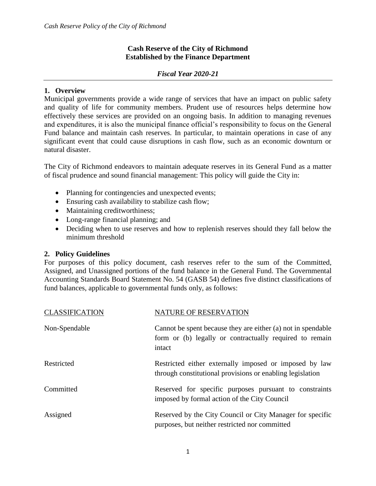## **Cash Reserve of the City of Richmond Established by the Finance Department**

## *Fiscal Year 2020-21*

## **1. Overview**

Municipal governments provide a wide range of services that have an impact on public safety and quality of life for community members. Prudent use of resources helps determine how effectively these services are provided on an ongoing basis. In addition to managing revenues and expenditures, it is also the municipal finance official's responsibility to focus on the General Fund balance and maintain cash reserves. In particular, to maintain operations in case of any significant event that could cause disruptions in cash flow, such as an economic downturn or natural disaster.

The City of Richmond endeavors to maintain adequate reserves in its General Fund as a matter of fiscal prudence and sound financial management: This policy will guide the City in:

- Planning for contingencies and unexpected events;
- Ensuring cash availability to stabilize cash flow;
- Maintaining creditworthiness;
- Long-range financial planning; and
- Deciding when to use reserves and how to replenish reserves should they fall below the minimum threshold

## **2. Policy Guidelines**

For purposes of this policy document, cash reserves refer to the sum of the Committed, Assigned, and Unassigned portions of the fund balance in the General Fund. The Governmental Accounting Standards Board Statement No. 54 (GASB 54) defines five distinct classifications of fund balances, applicable to governmental funds only, as follows:

| <b>CLASSIFICATION</b> | <b>NATURE OF RESERVATION</b>                                                                                                      |
|-----------------------|-----------------------------------------------------------------------------------------------------------------------------------|
| Non-Spendable         | Cannot be spent because they are either (a) not in spendable<br>form or (b) legally or contractually required to remain<br>intact |
| Restricted            | Restricted either externally imposed or imposed by law<br>through constitutional provisions or enabling legislation               |
| Committed             | Reserved for specific purposes pursuant to constraints<br>imposed by formal action of the City Council                            |
| Assigned              | Reserved by the City Council or City Manager for specific<br>purposes, but neither restricted nor committed                       |